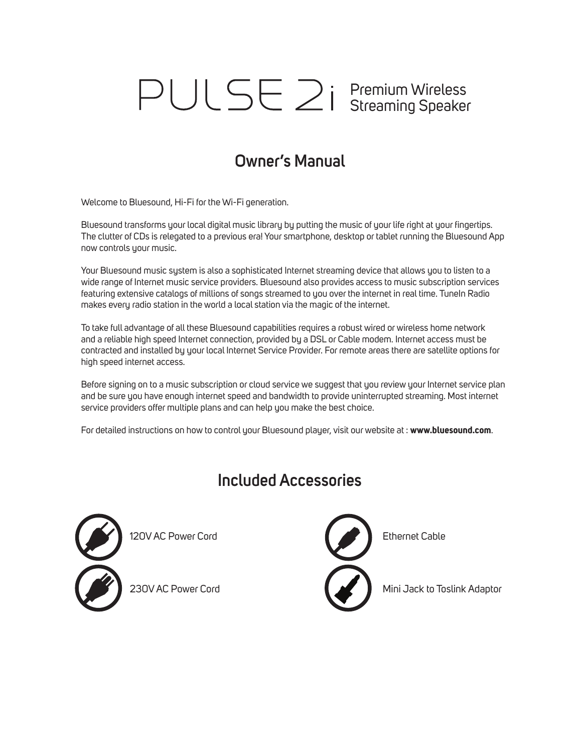## Premium Wireless Streaming Speaker

### **Owner's Manual**

Welcome to Bluesound, Hi-Fi for the Wi-Fi generation.

Bluesound transforms your local digital music library by putting the music of your life right at your fingertips. The clutter of CDs is relegated to a previous era! Your smartphone, desktop or tablet running the Bluesound App now controls your music.

Your Bluesound music system is also a sophisticated Internet streaming device that allows you to listen to a wide range of Internet music service providers. Bluesound also provides access to music subscription services featuring extensive catalogs of millions of songs streamed to you over the internet in real time. TuneIn Radio makes every radio station in the world a local station via the magic of the internet.

To take full advantage of all these Bluesound capabilities requires a robust wired or wireless home network and a reliable high speed Internet connection, provided by a DSL or Cable modem. Internet access must be contracted and installed by your local Internet Service Provider. For remote areas there are satellite options for high speed internet access.

Before signing on to a music subscription or cloud service we suggest that you review your Internet service plan and be sure you have enough internet speed and bandwidth to provide uninterrupted streaming. Most internet service providers offer multiple plans and can help you make the best choice.

For detailed instructions on how to control your Bluesound player, visit our website at : **www.bluesound.com**.

### **Included Accessories**





230V AC Power Cord Nini Jack to Toslink Adaptor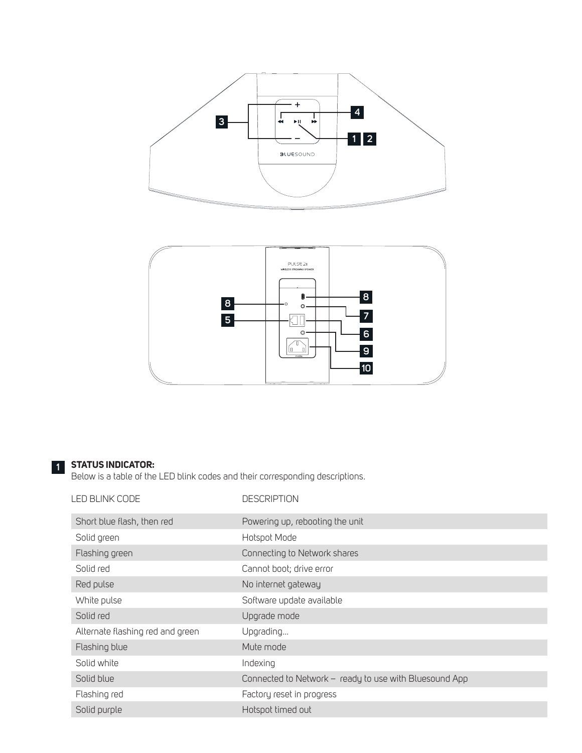



#### **STATUS INDICATOR: 1**

Below is a table of the LED blink codes and their corresponding descriptions.

| LED BLINK CODE                   | <b>DESCRIPTION</b>                                     |
|----------------------------------|--------------------------------------------------------|
| Short blue flash, then red       | Powering up, rebooting the unit                        |
| Solid green                      | Hotspot Mode                                           |
| Flashing green                   | Connecting to Network shares                           |
| Solid red                        | Cannot boot; drive error                               |
| Red pulse                        | No internet gateway                                    |
| White pulse                      | Software update available                              |
| Solid red                        | Upgrade mode                                           |
| Alternate flashing red and green | Upgrading                                              |
| Flashing blue                    | Mute mode                                              |
| Solid white                      | Indexing                                               |
| Solid blue                       | Connected to Network - ready to use with Bluesound App |
| Flashing red                     | Factory reset in progress                              |
| Solid purple                     | Hotspot timed out                                      |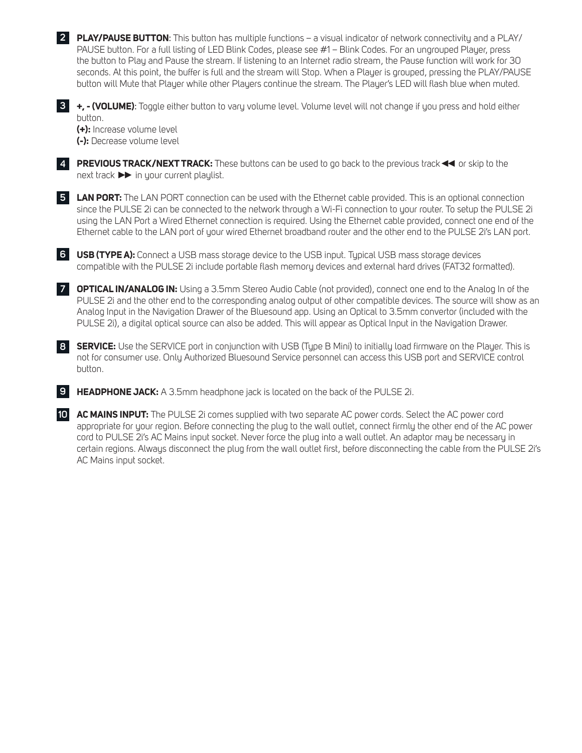**PLAY/PAUSE BUTTON**: This button has multiple functions – a visual indicator of network connectivity and a PLAY/ **2** PAUSE button. For a full listing of LED Blink Codes, please see #1 – Blink Codes. For an ungrouped Player, press the button to Play and Pause the stream. If listening to an Internet radio stream, the Pause function will work for 30 seconds. At this point, the buffer is full and the stream will Stop. When a Player is grouped, pressing the PLAY/PAUSE button will Mute that Player while other Players continue the stream. The Player's LED will flash blue when muted. **+, - (VOLUME)**: Toggle either button to vary volume level. Volume level will not change if you press and hold either **3** button. **(+):** Increase volume level **(-):** Decrease volume level

**PREVIOUS TRACK/NEXT TRACK:** These buttons can be used to go back to the previous track◄◄ or skip to the **4** next track ►► in your current playlist.

**LAN PORT:** The LAN PORT connection can be used with the Ethernet cable provided. This is an optional connection **5** since the PULSE 2i can be connected to the network through a Wi-Fi connection to your router. To setup the PULSE 2i using the LAN Port a Wired Ethernet connection is required. Using the Ethernet cable provided, connect one end of the Ethernet cable to the LAN port of your wired Ethernet broadband router and the other end to the PULSE 2i's LAN port.

**USB (TYPE A):** Connect a USB mass storage device to the USB input. Typical USB mass storage devices **6** compatible with the PULSE 2i include portable flash memory devices and external hard drives (FAT32 formatted).

**OPTICAL IN/ANALOG IN:** Using a 3.5mm Stereo Audio Cable (not provided), connect one end to the Analog In of the **7** PULSE 2i and the other end to the corresponding analog output of other compatible devices. The source will show as an Analog Input in the Navigation Drawer of the Bluesound app. Using an Optical to 3.5mm convertor (included with the PULSE 2i), a digital optical source can also be added. This will appear as Optical Input in the Navigation Drawer.

**SERVICE:** Use the SERVICE port in conjunction with USB (Type B Mini) to initially load firmware on the Player. This is **8** not for consumer use. Only Authorized Bluesound Service personnel can access this USB port and SERVICE control button.

**HEADPHONE JACK:** A 3.5mm headphone jack is located on the back of the PULSE 2i. **9**

**AC MAINS INPUT:** The PULSE 2i comes supplied with two separate AC power cords. Select the AC power cord **10**appropriate for your region. Before connecting the plug to the wall outlet, connect firmly the other end of the AC power cord to PULSE 2i's AC Mains input socket. Never force the plug into a wall outlet. An adaptor may be necessary in certain regions. Always disconnect the plug from the wall outlet first, before disconnecting the cable from the PULSE 2i's AC Mains input socket.